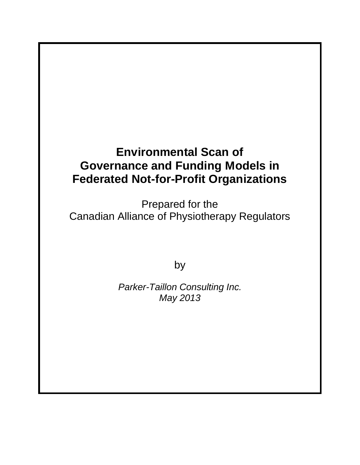# **Environmental Scan of Governance and Funding Models in Federated Not-for-Profit Organizations**

Prepared for the Canadian Alliance of Physiotherapy Regulators

by

*Parker-Taillon Consulting Inc. May 2013*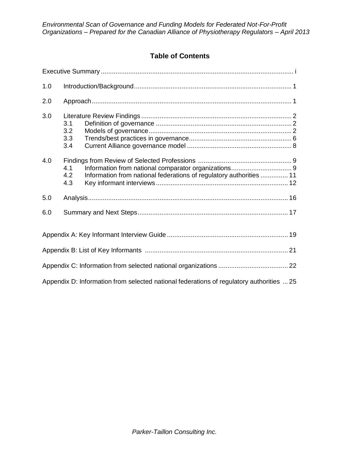# **Table of Contents**

| 1.0                                                                                      |                          |                                                                     |  |  |  |
|------------------------------------------------------------------------------------------|--------------------------|---------------------------------------------------------------------|--|--|--|
| 2.0                                                                                      |                          |                                                                     |  |  |  |
| 3.0                                                                                      | 3.1<br>3.2<br>3.3<br>3.4 |                                                                     |  |  |  |
| 4.0                                                                                      | 4.1<br>4.2<br>4.3        | Information from national federations of regulatory authorities  11 |  |  |  |
| 5.0                                                                                      |                          |                                                                     |  |  |  |
| 6.0                                                                                      |                          |                                                                     |  |  |  |
|                                                                                          |                          |                                                                     |  |  |  |
|                                                                                          |                          |                                                                     |  |  |  |
|                                                                                          |                          |                                                                     |  |  |  |
| Appendix D: Information from selected national federations of regulatory authorities  25 |                          |                                                                     |  |  |  |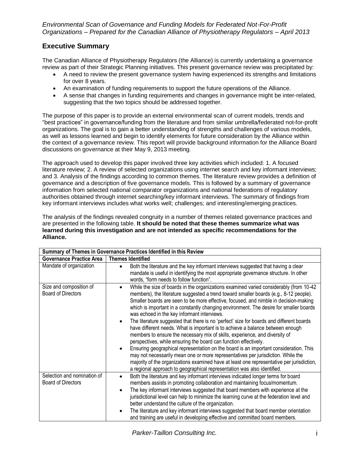# **Executive Summary**

The Canadian Alliance of Physiotherapy Regulators (the Alliance) is currently undertaking a governance review as part of their Strategic Planning initiatives. This present governance review was precipitated by:

- A need to review the present governance system having experienced its strengths and limitations for over 8 years.
- An examination of funding requirements to support the future operations of the Alliance.
- A sense that changes in funding requirements and changes in governance might be inter-related, suggesting that the two topics should be addressed together.

The purpose of this paper is to provide an external environmental scan of current models, trends and "best practices" in governance/funding from the literature and from similar umbrella/federated not-for-profit organizations. The goal is to gain a better understanding of strengths and challenges of various models, as well as lessons learned and begin to identify elements for future consideration by the Alliance within the context of a governance review. This report will provide background information for the Alliance Board discussions on governance at their May 9, 2013 meeting.

The approach used to develop this paper involved three key activities which included: 1. A focused literature review; 2. A review of selected organizations using internet search and key informant interviews; and 3. Analysis of the findings according to common themes. The literature review provides a definition of governance and a description of five governance models. This is followed by a summary of governance information from selected national comparator organizations and national federations of regulatory authorities obtained through internet searching/key informant interviews. The summary of findings from key informant interviews includes what works well; challenges; and interesting/emerging practices.

The analysis of the findings revealed congruity in a number of themes related governance practices and are presented in the following table. **It should be noted that these themes summarize what was learned during this investigation and are not intended as specific recommendations for the Alliance.** 

| Summary of Themes in Governance Practices Identified in this Review |                                                                                                                                                                                                                                                                                                                                                                                                                                                                                                                                                                                                                                                                                                                                                                                                                                                                                                                                                                                                                                                                                                                                  |  |  |  |
|---------------------------------------------------------------------|----------------------------------------------------------------------------------------------------------------------------------------------------------------------------------------------------------------------------------------------------------------------------------------------------------------------------------------------------------------------------------------------------------------------------------------------------------------------------------------------------------------------------------------------------------------------------------------------------------------------------------------------------------------------------------------------------------------------------------------------------------------------------------------------------------------------------------------------------------------------------------------------------------------------------------------------------------------------------------------------------------------------------------------------------------------------------------------------------------------------------------|--|--|--|
| <b>Governance Practice Area</b>                                     | <b>Themes Identified</b>                                                                                                                                                                                                                                                                                                                                                                                                                                                                                                                                                                                                                                                                                                                                                                                                                                                                                                                                                                                                                                                                                                         |  |  |  |
| Mandate of organization                                             | Both the literature and the key informant interviews suggested that having a clear<br>mandate is useful in identifying the most appropriate governance structure. In other<br>words, "form needs to follow function".                                                                                                                                                                                                                                                                                                                                                                                                                                                                                                                                                                                                                                                                                                                                                                                                                                                                                                            |  |  |  |
| Size and composition of<br><b>Board of Directors</b>                | While the size of boards in the organizations examined varied considerably (from 10-42<br>$\bullet$<br>members), the literature suggested a trend toward smaller boards (e.g., 8-12 people).<br>Smaller boards are seen to be more effective, focused, and nimble in decision-making<br>which is important in a constantly changing environment. The desire for smaller boards<br>was echoed in the key informant interviews.<br>The literature suggested that there is no 'perfect' size for boards and different boards<br>have different needs. What is important is to achieve a balance between enough<br>members to ensure the necessary mix of skills, experience, and diversity of<br>perspectives, while ensuring the board can function effectively.<br>Ensuring geographical representation on the board is an important consideration. This<br>$\bullet$<br>may not necessarily mean one or more representatives per jurisdiction. While the<br>majority of the organizations examined have at least one representative per jurisdiction,<br>a regional approach to geographical representation was also identified. |  |  |  |
| Selection and nomination of<br><b>Board of Directors</b>            | Both the literature and key informant interviews indicated longer terms for board<br>٠<br>members assists in promoting collaboration and maintaining focus/momentum.<br>The key informant interviews suggested that board members with experience at the<br>jurisdictional level can help to minimize the learning curve at the federation level and<br>better understand the culture of the organization.<br>The literature and key informant interviews suggested that board member orientation<br>and training are useful in developing effective and committed board members.                                                                                                                                                                                                                                                                                                                                                                                                                                                                                                                                                |  |  |  |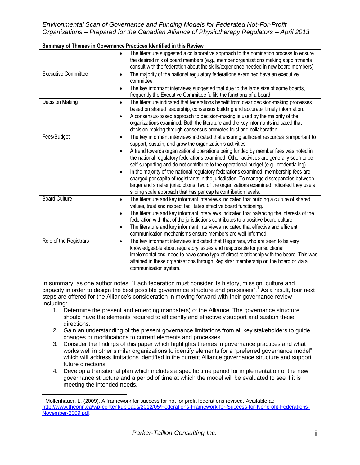*Environmental Scan of Governance and Funding Models for Federated Not-For-Profit Organizations – Prepared for the Canadian Alliance of Physiotherapy Regulators – April 2013*

|                            | Summary of Themes in Governance Practices Identified in this Review                                                                                                                                                                                                                                                                                                                                                                                                                                                                                                                                                                                                                                                                                                                             |
|----------------------------|-------------------------------------------------------------------------------------------------------------------------------------------------------------------------------------------------------------------------------------------------------------------------------------------------------------------------------------------------------------------------------------------------------------------------------------------------------------------------------------------------------------------------------------------------------------------------------------------------------------------------------------------------------------------------------------------------------------------------------------------------------------------------------------------------|
|                            | The literature suggested a collaborative approach to the nomination process to ensure<br>the desired mix of board members (e.g., member organizations making appointments<br>consult with the federation about the skills/experience needed in new board members).                                                                                                                                                                                                                                                                                                                                                                                                                                                                                                                              |
| <b>Executive Committee</b> | The majority of the national regulatory federations examined have an executive<br>$\bullet$<br>committee.<br>The key informant interviews suggested that due to the large size of some boards,<br>frequently the Executive Committee fulfils the functions of a board.                                                                                                                                                                                                                                                                                                                                                                                                                                                                                                                          |
| <b>Decision Making</b>     | The literature indicated that federations benefit from clear decision-making processes<br>$\bullet$<br>based on shared leadership, consensus building and accurate, timely information.<br>A consensus-based approach to decision-making is used by the majority of the<br>organizations examined. Both the literature and the key informants indicated that<br>decision-making through consensus promotes trust and collaboration.                                                                                                                                                                                                                                                                                                                                                             |
| Fees/Budget                | The key informant interviews indicated that ensuring sufficient resources is important to<br>$\bullet$<br>support, sustain, and grow the organization's activities.<br>A trend towards organizational operations being funded by member fees was noted in<br>the national regulatory federations examined. Other activities are generally seen to be<br>self-supporting and do not contribute to the operational budget (e.g., credentialing).<br>In the majority of the national regulatory federations examined, membership fees are<br>charged per capita of registrants in the jurisdiction. To manage discrepancies between<br>larger and smaller jurisdictions, two of the organizations examined indicated they use a<br>sliding scale approach that has per capita contribution levels. |
| <b>Board Culture</b>       | The literature and key informant interviews indicated that building a culture of shared<br>$\bullet$<br>values, trust and respect facilitates effective board functioning.<br>The literature and key informant interviews indicated that balancing the interests of the<br>$\bullet$<br>federation with that of the jurisdictions contributes to a positive board culture.<br>The literature and key informant interviews indicated that effective and efficient<br>communication mechanisms ensure members are well informed.                                                                                                                                                                                                                                                                  |
| Role of the Registrars     | The key informant interviews indicated that Registrars, who are seen to be very<br>$\bullet$<br>knowledgeable about regulatory issues and responsible for jurisdictional<br>implementations, need to have some type of direct relationship with the board. This was<br>attained in these organizations through Registrar membership on the board or via a<br>communication system.                                                                                                                                                                                                                                                                                                                                                                                                              |

In summary, as one author notes, "Each federation must consider its history, mission, culture and capacity in order to design the best possible governance structure and processes".<sup>1</sup> As a result, four next steps are offered for the Alliance's consideration in moving forward with their governance review including:

- 1. Determine the present and emerging mandate(s) of the Alliance. The governance structure should have the elements required to efficiently and effectively support and sustain these directions.
- 2. Gain an understanding of the present governance limitations from all key stakeholders to guide changes or modifications to current elements and processes.
- 3. Consider the findings of this paper which highlights themes in governance practices and what works well in other similar organizations to identify elements for a "preferred governance model" which will address limitations identified in the current Alliance governance structure and support future directions.
- 4. Develop a transitional plan which includes a specific time period for implementation of the new governance structure and a period of time at which the model will be evaluated to see if it is meeting the intended needs.

 $\overline{a}$ 

 $1$  Mollenhauer, L. (2009). A framework for success for not for profit federations revised. Available at: [http://www.theonn.ca/wp-content/uploads/2012/05/Federations-Framework-for-Success-for-Nonprofit-Federations-](http://www.theonn.ca/wp-content/uploads/2012/05/Federations-Framework-for-Success-for-Nonprofit-Federations-November-2009.pdf)[November-2009.pdf.](http://www.theonn.ca/wp-content/uploads/2012/05/Federations-Framework-for-Success-for-Nonprofit-Federations-November-2009.pdf)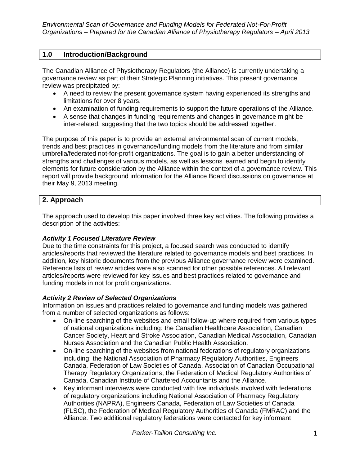# **1.0 Introduction/Background**

The Canadian Alliance of Physiotherapy Regulators (the Alliance) is currently undertaking a governance review as part of their Strategic Planning initiatives. This present governance review was precipitated by:

- A need to review the present governance system having experienced its strengths and limitations for over 8 years.
- An examination of funding requirements to support the future operations of the Alliance.
- A sense that changes in funding requirements and changes in governance might be inter-related, suggesting that the two topics should be addressed together.

The purpose of this paper is to provide an external environmental scan of current models, trends and best practices in governance/funding models from the literature and from similar umbrella/federated not-for-profit organizations. The goal is to gain a better understanding of strengths and challenges of various models, as well as lessons learned and begin to identify elements for future consideration by the Alliance within the context of a governance review. This report will provide background information for the Alliance Board discussions on governance at their May 9, 2013 meeting.

# **2. Approach**

The approach used to develop this paper involved three key activities. The following provides a description of the activities:

# *Activity 1 Focused Literature Review*

Due to the time constraints for this project, a focused search was conducted to identify articles/reports that reviewed the literature related to governance models and best practices. In addition, key historic documents from the previous Alliance governance review were examined. Reference lists of review articles were also scanned for other possible references. All relevant articles/reports were reviewed for key issues and best practices related to governance and funding models in not for profit organizations.

# *Activity 2 Review of Selected Organizations*

Information on issues and practices related to governance and funding models was gathered from a number of selected organizations as follows:

- On-line searching of the websites and email follow-up where required from various types of national organizations including: the Canadian Healthcare Association, Canadian Cancer Society, Heart and Stroke Association, Canadian Medical Association, Canadian Nurses Association and the Canadian Public Health Association.
- On-line searching of the websites from national federations of regulatory organizations including: the National Association of Pharmacy Regulatory Authorities, Engineers Canada, Federation of Law Societies of Canada, Association of Canadian Occupational Therapy Regulatory Organizations, the Federation of Medical Regulatory Authorities of Canada, Canadian Institute of Chartered Accountants and the Alliance.
- Key informant interviews were conducted with five individuals involved with federations of regulatory organizations including National Association of Pharmacy Regulatory Authorities (NAPRA), Engineers Canada, Federation of Law Societies of Canada (FLSC), the Federation of Medical Regulatory Authorities of Canada (FMRAC) and the Alliance. Two additional regulatory federations were contacted for key informant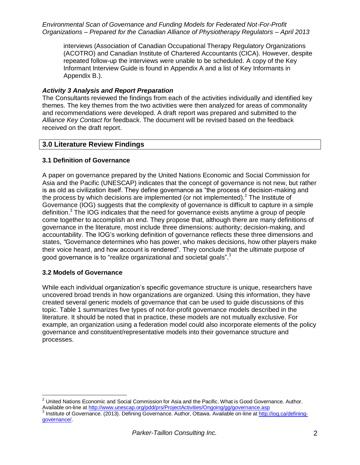interviews (Association of Canadian Occupational Therapy Regulatory Organizations (ACOTRO) and Canadian Institute of Chartered Accountants (CICA). However, despite repeated follow-up the interviews were unable to be scheduled. A copy of the Key Informant Interview Guide is found in Appendix A and a list of Key Informants in Appendix B.).

#### *Activity 3 Analysis and Report Preparation*

The Consultants reviewed the findings from each of the activities individually and identified key themes. The key themes from the two activities were then analyzed for areas of commonality and recommendations were developed. A draft report was prepared and submitted to the *Alliance Key Contact f*or feedback. The document will be revised based on the feedback received on the draft report.

#### **3.0 Literature Review Findings**

#### **3.1 Definition of Governance**

<span id="page-5-0"></span>A paper on governance prepared by the United Nations Economic and Social Commission for Asia and the Pacific (UNESCAP) indicates that the concept of governance is not new, but rather is as old as civilization itself. They define governance as "the process of decision-making and the process by which decisions are implemented (or not implemented). $<sup>2</sup>$  The Institute of</sup> Governance (IOG) suggests that the complexity of governance is difficult to capture in a simple definition.<sup>3</sup> The IOG indicates that the need for governance exists anytime a group of people come together to accomplish an end. They propose that, although there are many definitions of governance in the literature, most include three dimensions: authority; decision-making, and accountability. The IOG's working definition of governance reflects these three dimensions and states, *"*Governance determines who has power, who makes decisions, how other players make their voice heard, and how account is rendered". They conclude that the ultimate purpose of good governance is to "realize organizational and societal goals[".](#page-5-0)<sup>3</sup>

#### **3.2 Models of Governance**

While each individual organization's specific governance structure is unique, researchers have uncovered broad trends in how organizations are organized. Using this information, they have created several generic models of governance that can be used to guide discussions of this topic. Table 1 summarizes five types of not-for-profit governance models described in the literature. It should be noted that in practice, these models are not mutually exclusive. For example, an organization using a federation model could also incorporate elements of the policy governance and constituent/representative models into their governance structure and processes.

 $\overline{a}$  $^2$  United Nations Economic and Social Commission for Asia and the Pacific. What is Good Governance. Author. Available on-line a[t http://www.unescap.org/pdd/prs/ProjectActivities/Ongoing/gg/governance.asp](http://www.unescap.org/pdd/prs/ProjectActivities/Ongoing/gg/governance.asp)

<sup>&</sup>lt;sup>3</sup> Institute of Governance. (2013). Defining Governance. Author, Ottawa. Available on-line at [http://iog.ca/defining](http://iog.ca/defining-governance/)[governance/.](http://iog.ca/defining-governance/)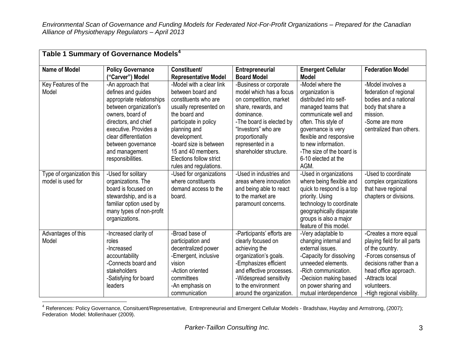| Table 1 Summary of Governance Models <sup>4</sup> |                                                                                                                                                                   |                                                                                                                                                                    |                                                                                                                                                                                                                              |                                                                                                                                                                                                                       |                                                                                                                                                                                                                     |
|---------------------------------------------------|-------------------------------------------------------------------------------------------------------------------------------------------------------------------|--------------------------------------------------------------------------------------------------------------------------------------------------------------------|------------------------------------------------------------------------------------------------------------------------------------------------------------------------------------------------------------------------------|-----------------------------------------------------------------------------------------------------------------------------------------------------------------------------------------------------------------------|---------------------------------------------------------------------------------------------------------------------------------------------------------------------------------------------------------------------|
| <b>Name of Model</b>                              | <b>Policy Governance</b><br>("Carver") Model                                                                                                                      | Constituent/<br><b>Representative Model</b>                                                                                                                        | <b>Entrepreneurial</b><br><b>Board Model</b>                                                                                                                                                                                 | <b>Emergent Cellular</b><br><b>Model</b>                                                                                                                                                                              | <b>Federation Model</b>                                                                                                                                                                                             |
| Key Features of the                               | -An approach that                                                                                                                                                 | -Model with a clear link                                                                                                                                           | -Business or corporate                                                                                                                                                                                                       | -Model where the                                                                                                                                                                                                      | -Model involves a                                                                                                                                                                                                   |
| Model                                             | defines and guides<br>appropriate relationships<br>between organization's<br>owners, board of                                                                     | between board and<br>constituents who are<br>usually represented on<br>the board and                                                                               | model which has a focus<br>on competition, market<br>share, rewards, and<br>dominance.                                                                                                                                       | organization is<br>distributed into self-<br>managed teams that<br>communicate well and                                                                                                                               | federation of regional<br>bodies and a national<br>body that share a<br>mission.                                                                                                                                    |
|                                                   | directors, and chief<br>executive. Provides a<br>clear differentiation                                                                                            | participate in policy<br>planning and<br>development.                                                                                                              | -The board is elected by<br>"Investors" who are                                                                                                                                                                              | often. This style of<br>governance is very                                                                                                                                                                            | -Some are more<br>centralized than others.                                                                                                                                                                          |
|                                                   | between governance<br>and management<br>responsibilities.                                                                                                         | -board size is between<br>15 and 40 members.<br>Elections follow strict<br>rules and regulations.                                                                  | proportionally<br>represented in a<br>shareholder structure.                                                                                                                                                                 | flexible and responsive<br>to new information.<br>-The size of the board is<br>6-10 elected at the<br>AGM.                                                                                                            |                                                                                                                                                                                                                     |
| Type of organization this<br>model is used for    | -Used for solitary<br>organizations. The<br>board is focused on<br>stewardship, and is a<br>familiar option used by<br>many types of non-profit<br>organizations. | -Used for organizations<br>where constituents<br>demand access to the<br>board.                                                                                    | -Used in industries and<br>areas where innovation<br>and being able to react<br>to the market are<br>paramount concerns.                                                                                                     | -Used in organizations<br>where being flexible and<br>quick to respond is a top<br>priority. Using<br>technology to coordinate<br>geographically disparate<br>groups is also a major<br>feature of this model.        | -Used to coordinate<br>complex organizations<br>that have regional<br>chapters or divisions.                                                                                                                        |
| Advantages of this<br>Model                       | -Increased clarity of<br>roles<br>-Increased<br>accountability<br>-Connects board and<br>stakeholders<br>-Satisfying for board<br>leaders                         | -Broad base of<br>participation and<br>decentralized power<br>-Emergent, inclusive<br>vision<br>-Action oriented<br>committees<br>-An emphasis on<br>communication | -Participants' efforts are<br>clearly focused on<br>achieving the<br>organization's goals.<br>-Emphasizes efficient<br>and effective processes.<br>-Widespread sensitivity<br>to the environment<br>around the organization. | -Very adaptable to<br>changing internal and<br>external issues.<br>-Capacity for dissolving<br>unneeded elements.<br>-Rich communication.<br>-Decision making based<br>on power sharing and<br>mutual interdependence | -Creates a more equal<br>playing field for all parts<br>of the country.<br>-Forces consensus of<br>decisions rather than a<br>head office approach.<br>-Attracts local<br>volunteers.<br>-High regional visibility. |

 $\overline{a}$ <sup>4</sup> References: Policy Governance, Consituent/Representative, Entrepreneurial and Emergent Cellular Models - Bradshaw, Hayday and Armstrong, (2007); Federation Model: Mollenhauer (2009).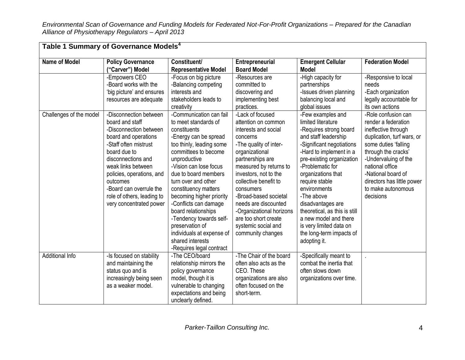|                         | Table 1 Summary of Governance Models <sup>4</sup>                                                                     |                                                                                                                                                                                                                                               |                                                                                                                                                       |                                                                                                                                               |                            |
|-------------------------|-----------------------------------------------------------------------------------------------------------------------|-----------------------------------------------------------------------------------------------------------------------------------------------------------------------------------------------------------------------------------------------|-------------------------------------------------------------------------------------------------------------------------------------------------------|-----------------------------------------------------------------------------------------------------------------------------------------------|----------------------------|
| <b>Name of Model</b>    | <b>Policy Governance</b>                                                                                              | Constituent/                                                                                                                                                                                                                                  | Entrepreneurial                                                                                                                                       | <b>Emergent Cellular</b>                                                                                                                      | <b>Federation Model</b>    |
|                         | ("Carver") Model                                                                                                      | <b>Representative Model</b>                                                                                                                                                                                                                   | <b>Board Model</b>                                                                                                                                    | <b>Model</b>                                                                                                                                  |                            |
|                         | -Empowers CEO                                                                                                         | -Focus on big picture                                                                                                                                                                                                                         | -Resources are                                                                                                                                        | -High capacity for                                                                                                                            | -Responsive to local       |
|                         | -Board works with the                                                                                                 | -Balancing competing                                                                                                                                                                                                                          | committed to                                                                                                                                          | partnerships                                                                                                                                  | needs                      |
|                         | 'big picture' and ensures                                                                                             | interests and                                                                                                                                                                                                                                 | discovering and                                                                                                                                       | -Issues driven planning                                                                                                                       | -Each organization         |
|                         | resources are adequate                                                                                                | stakeholders leads to                                                                                                                                                                                                                         | implementing best                                                                                                                                     | balancing local and                                                                                                                           | legally accountable for    |
|                         |                                                                                                                       | creativity                                                                                                                                                                                                                                    | practices.                                                                                                                                            | global issues                                                                                                                                 | its own actions            |
| Challenges of the model | -Disconnection between                                                                                                | -Communication can fail                                                                                                                                                                                                                       | -Lack of focused                                                                                                                                      | -Few examples and                                                                                                                             | -Role confusion can        |
|                         | board and staff                                                                                                       | to meet standards of                                                                                                                                                                                                                          | attention on common                                                                                                                                   | limited literature                                                                                                                            | render a federation        |
|                         | -Disconnection between                                                                                                | constituents                                                                                                                                                                                                                                  | interests and social                                                                                                                                  | -Requires strong board                                                                                                                        | ineffective through        |
|                         | board and operations                                                                                                  | -Energy can be spread                                                                                                                                                                                                                         | concerns                                                                                                                                              | and staff leadership                                                                                                                          | duplication, turf wars, or |
|                         | -Staff often mistrust                                                                                                 | too thinly, leading some                                                                                                                                                                                                                      | -The quality of inter-                                                                                                                                | -Significant negotiations                                                                                                                     | some duties 'falling       |
|                         | board due to                                                                                                          | committees to become                                                                                                                                                                                                                          | organizational                                                                                                                                        | -Hard to implement in a                                                                                                                       | through the cracks'        |
|                         | disconnections and                                                                                                    | unproductive                                                                                                                                                                                                                                  | partnerships are                                                                                                                                      | pre-existing organization                                                                                                                     | -Undervaluing of the       |
|                         | weak links between                                                                                                    | -Vision can lose focus                                                                                                                                                                                                                        | measured by returns to                                                                                                                                | -Problematic for                                                                                                                              | national office            |
|                         | policies, operations, and                                                                                             | due to board members                                                                                                                                                                                                                          | investors, not to the                                                                                                                                 | organizations that                                                                                                                            | -National board of         |
|                         | outcomes                                                                                                              | turn over and other                                                                                                                                                                                                                           | collective benefit to                                                                                                                                 | require stable                                                                                                                                | directors has little power |
|                         | -Board can overrule the                                                                                               | constituency matters                                                                                                                                                                                                                          | consumers                                                                                                                                             | environments                                                                                                                                  | to make autonomous         |
|                         | role of others, leading to                                                                                            | becoming higher priority                                                                                                                                                                                                                      | -Broad-based societal                                                                                                                                 | -The above                                                                                                                                    | decisions                  |
|                         | very concentrated power                                                                                               | -Conflicts can damage                                                                                                                                                                                                                         | needs are discounted                                                                                                                                  | disadvantages are                                                                                                                             |                            |
|                         |                                                                                                                       | board relationships                                                                                                                                                                                                                           | -Organizational horizons                                                                                                                              | theoretical, as this is still                                                                                                                 |                            |
|                         |                                                                                                                       | -Tendency towards self-                                                                                                                                                                                                                       | are too short create                                                                                                                                  | a new model and there                                                                                                                         |                            |
|                         |                                                                                                                       | preservation of                                                                                                                                                                                                                               | systemic social and                                                                                                                                   | is very limited data on                                                                                                                       |                            |
|                         |                                                                                                                       |                                                                                                                                                                                                                                               |                                                                                                                                                       |                                                                                                                                               |                            |
|                         |                                                                                                                       |                                                                                                                                                                                                                                               |                                                                                                                                                       |                                                                                                                                               |                            |
|                         |                                                                                                                       |                                                                                                                                                                                                                                               |                                                                                                                                                       |                                                                                                                                               |                            |
|                         |                                                                                                                       |                                                                                                                                                                                                                                               |                                                                                                                                                       |                                                                                                                                               |                            |
|                         |                                                                                                                       |                                                                                                                                                                                                                                               |                                                                                                                                                       |                                                                                                                                               |                            |
|                         |                                                                                                                       |                                                                                                                                                                                                                                               |                                                                                                                                                       |                                                                                                                                               |                            |
|                         |                                                                                                                       |                                                                                                                                                                                                                                               |                                                                                                                                                       |                                                                                                                                               |                            |
|                         |                                                                                                                       |                                                                                                                                                                                                                                               |                                                                                                                                                       |                                                                                                                                               |                            |
|                         |                                                                                                                       |                                                                                                                                                                                                                                               |                                                                                                                                                       |                                                                                                                                               |                            |
| <b>Additional Info</b>  | -Is focused on stability<br>and maintaining the<br>status quo and is<br>increasingly being seen<br>as a weaker model. | individuals at expense of<br>shared interests<br>-Requires legal contract<br>-The CEO/board<br>relationship mirrors the<br>policy governance<br>model, though it is<br>vulnerable to changing<br>expectations and being<br>unclearly defined. | community changes<br>-The Chair of the board<br>often also acts as the<br>CEO. These<br>organizations are also<br>often focused on the<br>short-term. | the long-term impacts of<br>adopting it.<br>-Specifically meant to<br>combat the inertia that<br>often slows down<br>organizations over time. |                            |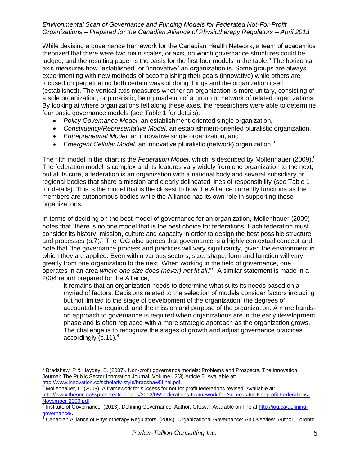While devising a governance framework for the Canadian Health Network, a team of academics theorized that there were two main scales, or axis, on which governance structures could be judged, and the resulting paper is the basis for the first four models in the table.<sup>5</sup> The horizontal axis measures how "established" or "innovative" an organization is. Some groups are always experimenting with new methods of accomplishing their goals (innovative) while others are focused on perpetuating both certain ways of doing things and the organization itself (established). The vertical axis measures whether an organization is more unitary, consisting of a sole organization, or pluralistic, being made up of a group or network of related organizations. By looking at where organizations fell along these axes, the researchers were able to determine four basic governance models (see Table 1 for details):

- <span id="page-8-0"></span>*Policy Governance Model*, an establishment-oriented single organization,
- *Constituency/Representative Model*, an establishment-oriented pluralistic organization,
- *Entrepreneurial Model*, an innovative single organization, and
- *Emergent Cellular Model*, an innovative pluralistic (network) organization. [5](#page-8-0)

The fifth model in the chart is the *Federation Model*, which is described by Mollenhauer (2009). 6 The federation model is complex and its features vary widely from one organization to the next, but at its core, a federation is an organization with a national body and several subsidiary or regional bodies that share a mission and clearly delineated lines of responsibility (see Table 1 for details). This is the model that is the closest to how the Alliance currently functions as the members are autonomous bodies while the Alliance has its own role in supporting those organizations.

In terms of deciding on the best model of governance for an organization, Mollenhauer (2009) notes that "there is no one model that is the best choice for federations. Each federation must consider its history, mission, culture and capacity in order to design the best possible structure and processes (p.7)." The IOG also agrees that governance is a highly contextual concept and note that "the governance process and practices will vary significantly, given the environment in which they are applied. Even within various sectors, size, shape, form and function will vary greatly from one organization to the next. When working in the field of governance, one operates in an area *where one size does (never) not fit all*." 7 A similar statement is made in a 2004 report prepared for the Alliance,

It remains that an organization needs to determine what suits its needs based on a myriad of factors. Decisions related to the selection of models consider factors including but not limited to the stage of development of the organization, the degrees of accountability required, and the mission and purpose of the organization. A more handson approach to governance is required when organizations are in the early development phase and is often replaced with a more strategic approach as the organization grows. The challenge is to recognize the stages of growth and adjust governance practices accordingly  $(p.11).<sup>8</sup>$ 

 $\overline{a}$ <sup>5</sup> Bradshaw, P & Hayday, B. (2007). Non-profit governance models: Problems and Prospects. The Innovation Journal: The Public Sector Innovation Journal. Volume 12(3) Article 5. Available at: [http://www.innovation.cc/scholarly-style/bradshaw5final.pdf.](http://www.innovation.cc/scholarly-style/bradshaw5final.pdf)

 $6$  Mollenhauer, L. (2009). A framework for success for not for profit federations revised. Available at:

[http://www.theonn.ca/wp-content/uploads/2012/05/Federations-Framework-for-Success-for-Nonprofit-Federations-](http://www.theonn.ca/wp-content/uploads/2012/05/Federations-Framework-for-Success-for-Nonprofit-Federations-November-2009.pdf)[November-2009.pdf.](http://www.theonn.ca/wp-content/uploads/2012/05/Federations-Framework-for-Success-for-Nonprofit-Federations-November-2009.pdf)

Institute of Governance. (2013). Defining Governance. Author, Ottawa. Available on-line at [http://iog.ca/defining](http://iog.ca/defining-governance/)[governance/](http://iog.ca/defining-governance/).

<sup>&</sup>lt;sup>5</sup> Canadian Alliance of Physiotherapy Regulators. (2004). Organizational Governance: An Overview. Author, Toronto.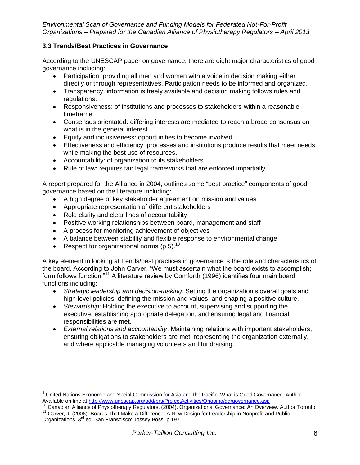#### **3.3 Trends/Best Practices in Governance**

According to the UNESCAP paper on governance, there are eight major characteristics of good governance including:

- Participation: providing all men and women with a voice in decision making either directly or through representatives. Participation needs to be informed and organized.
- Transparency: information is freely available and decision making follows rules and regulations.
- Responsiveness: of institutions and processes to stakeholders within a reasonable timeframe.
- Consensus orientated: differing interests are mediated to reach a broad consensus on what is in the general interest.
- Equity and inclusiveness: opportunities to become involved.
- Effectiveness and efficiency: processes and institutions produce results that meet needs while making the best use of resources.
- Accountability: of organization to its stakeholders.
- Rule of law: requires fair legal frameworks that are enforced impartially. $^9$

A report prepared for the Alliance in 2004, outlines some "best practice" components of good governance based on the literature including:

- A high degree of key stakeholder agreement on mission and values
- Appropriate representation of different stakeholders
- Role clarity and clear lines of accountability
- Positive working relationships between board, management and staff
- A process for monitoring achievement of objectives
- A balance between stability and flexible response to environmental change
- Respect for organizational norms (p.5).<sup>10</sup>

 $\overline{a}$ 

A key element in looking at trends/best practices in governance is the role and characteristics of the board. According to John Carver, "We must ascertain what the board exists to accomplish; form follows function."<sup>11</sup> A literature review by Comforth (1996) identifies four main board functions including:

- *Strategic leadership and decision-making*: Setting the organization's overall goals and high level policies, defining the mission and values, and shaping a positive culture.
- *Stewardship*: Holding the executive to account, supervising and supporting the executive, establishing appropriate delegation, and ensuring legal and financial responsibilities are met.
- *External relations and accountability*: Maintaining relations with important stakeholders, ensuring obligations to stakeholders are met, representing the organization externally, and where applicable managing volunteers and fundraising.

<sup>&</sup>lt;sup>9</sup> United Nations Economic and Social Commission for Asia and the Pacific. What is Good Governance. Author. Available on-line a[t http://www.unescap.org/pdd/prs/ProjectActivities/Ongoing/gg/governance.asp](http://www.unescap.org/pdd/prs/ProjectActivities/Ongoing/gg/governance.asp)

<sup>&</sup>lt;sup>10</sup> Canadian Alliance of Physiotherapy Regulators. (2004). Organizational Governance: An Overview. Author, Toronto. <sup>11</sup> Carver, J. (2006). Boards That Make a Difference: A New Design for Leadership in Nonprofit and Public

Organizations. 3rd ed. San Franscisco: Jossey Boss. p.197.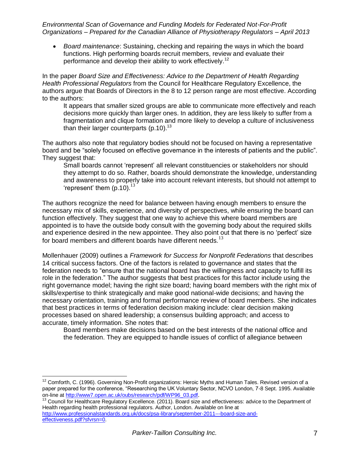*Board maintenance*: Sustaining, checking and repairing the ways in which the board functions. High performing boards recruit members, review and evaluate their performance and develop their ability to work effectively.<sup>12</sup>

In the paper *Board Size and Effectiveness: Advice to the Department of Health Regarding Health Professional Regulators* from the Council for Healthcare Regulatory Excellence, the authors argue that Boards of Directors in the 8 to 12 person range are most effective. According to the authors:

<span id="page-10-0"></span>It appears that smaller sized groups are able to communicate more effectively and reach decisions more quickly than larger ones. In addition, they are less likely to suffer from a fragmentation and clique formation and more likely to develop a culture of inclusiveness than their larger counterparts (p.10).<sup>13</sup>

The authors also note that regulatory bodies should not be focused on having a representative board and be "solely focused on effective governance in the interests of patients and the public". They suggest that:

Small boards cannot 'represent' all relevant constituencies or stakeholders nor should they attempt to do so. Rather, boards should demonstrate the knowledge, understanding and awareness to properly take into account relevant interests, but should not attempt to 'represent' them  $(p.10)^{13}$  $(p.10)^{13}$  $(p.10)^{13}$ 

The authors recognize the need for balance between having enough members to ensure the necessary mix of skills, experience, and diversity of perspectives, while ensuring the board can function effectively. They suggest that one way to achieve this where board members are appointed is to have the outside body consult with the governing body about the required skills and experience desired in the new appointee. They also point out that there is no 'perfect' size for board members and different boards have different needs. $^{13}$  $^{13}$  $^{13}$ 

Mollenhauer (2009) outlines a *Framework for Success for Nonprofit Federations* that describes 14 critical success factors. One of the factors is related to governance and states that the federation needs to "ensure that the national board has the willingness and capacity to fulfill its role in the federation." The author suggests that best practices for this factor include using the right governance model; having the right size board; having board members with the right mix of skills/expertise to think strategically and make good national-wide decisions; and having the necessary orientation, training and formal performance review of board members. She indicates that best practices in terms of federation decision making include: clear decision making processes based on shared leadership; a consensus building approach; and access to accurate, timely information. She notes that:

Board members make decisions based on the best interests of the national office and the federation. They are equipped to handle issues of conflict of allegiance between

 $\overline{a}$ 

<sup>13</sup> Council for Healthcare Regulatory Excellence. (2011). Board size and effectiveness: advice to the Department of Health regarding health professional regulators. Author, London. Available on line at [http://www.professionalstandards.org.uk/docs/psa-library/september-2011---board-size-and](http://www.professionalstandards.org.uk/docs/psa-library/september-2011---board-size-and-effectiveness.pdf?sfvrsn=0)[effectiveness.pdf?sfvrsn=0.](http://www.professionalstandards.org.uk/docs/psa-library/september-2011---board-size-and-effectiveness.pdf?sfvrsn=0)

 $12$  Comforth, C. (1996). Governing Non-Profit organizations: Heroic Myths and Human Tales. Revised version of a paper prepared for the conference, "Researching the UK Voluntary Sector, NCVO London, 7-8 Sept. 1995. Available on-line a[t http://www7.open.ac.uk/oubs/research/pdf/WP96\\_03.pdf](http://www7.open.ac.uk/oubs/research/pdf/WP96_03.pdf).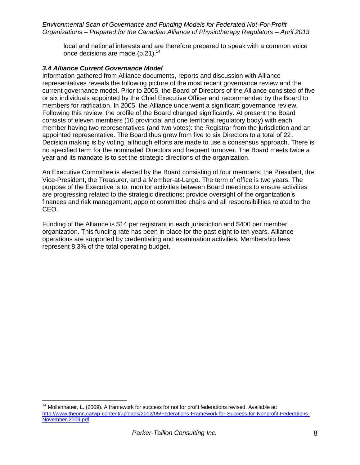local and national interests and are therefore prepared to speak with a common voice once decisions are made (p.21).<sup>14</sup>

#### *3.4 Alliance Current Governance Model*

 $\overline{a}$ 

Information gathered from Alliance documents, reports and discussion with Alliance representatives reveals the following picture of the most recent governance review and the current governance model. Prior to 2005, the Board of Directors of the Alliance consisted of five or six individuals appointed by the Chief Executive Officer and recommended by the Board to members for ratification. In 2005, the Alliance underwent a significant governance review. Following this review, the profile of the Board changed significantly. At present the Board consists of eleven members (10 provincial and one territorial regulatory body) with each member having two representatives (and two votes): the Registrar from the jurisdiction and an appointed representative. The Board thus grew from five to six Directors to a total of 22. Decision making is by voting, although efforts are made to use a consensus approach. There is no specified term for the nominated Directors and frequent turnover. The Board meets twice a year and its mandate is to set the strategic directions of the organization.

An Executive Committee is elected by the Board consisting of four members: the President, the Vice-President, the Treasurer, and a Member-at-Large. The term of office is two years. The purpose of the Executive is to: monitor activities between Board meetings to ensure activities are progressing related to the strategic directions; provide oversight of the organization's finances and risk management; appoint committee chairs and all responsibilities related to the CEO.

Funding of the Alliance is \$14 per registrant in each jurisdiction and \$400 per member organization. This funding rate has been in place for the past eight to ten years. Alliance operations are supported by credentialing and examination activities. Membership fees represent 8.3% of the total operating budget.

 $14$  Mollenhauer, L. (2009). A framework for success for not for profit federations revised. Available at: [http://www.theonn.ca/wp-content/uploads/2012/05/Federations-Framework-for-Success-for-Nonprofit-Federations-](http://www.theonn.ca/wp-content/uploads/2012/05/Federations-Framework-for-Success-for-Nonprofit-Federations-November-2009.pdf)[November-2009.pdf](http://www.theonn.ca/wp-content/uploads/2012/05/Federations-Framework-for-Success-for-Nonprofit-Federations-November-2009.pdf)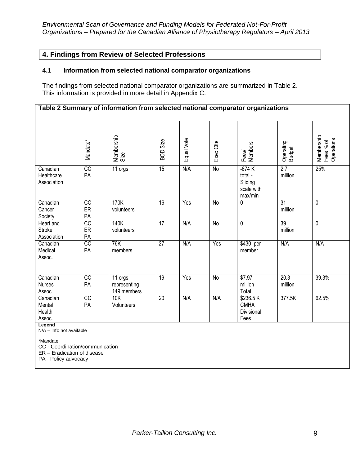### **4. Findings from Review of Selected Professions**

#### **4.1 Information from selected national comparator organizations**

The findings from selected national comparator organizations are summarized in Table 2. This information is provided in more detail in Appendix C.

|                                                                                                         | Table 2 Summary of information from selected national comparator organizations |                                        |                 |            |                |                                                        |                            |                                       |
|---------------------------------------------------------------------------------------------------------|--------------------------------------------------------------------------------|----------------------------------------|-----------------|------------|----------------|--------------------------------------------------------|----------------------------|---------------------------------------|
|                                                                                                         | Mandate*                                                                       | Membership<br>Size                     | <b>BOD Size</b> | Equal Vote | Exec Ctte      | Fees/<br>Members                                       | Operating<br>Budget        | Membership<br>Fees % of<br>Operations |
| Canadian<br>Healthcare<br>Association                                                                   | CC<br>PA                                                                       | 11 orgs                                | 15              | N/A        | $\overline{N}$ | $-674K$<br>total -<br>Sliding<br>scale with<br>max/min | 2.7<br>million             | 25%                                   |
| Canadian<br>Cancer<br>Society                                                                           | $\overline{cc}$<br>ER<br>PA                                                    | 170K<br>volunteers                     | $\overline{16}$ | Yes        | <b>No</b>      | 0                                                      | $\overline{31}$<br>million | 0                                     |
| Heart and<br><b>Stroke</b><br>Association                                                               | cc<br>ER<br>PA                                                                 | 140K<br>volunteers                     | $\overline{17}$ | N/A        | $\overline{N}$ | 0                                                      | $\overline{39}$<br>million | 0                                     |
| Canadian<br>Medical<br>Assoc.                                                                           | cc<br>PA                                                                       | 76K<br>members                         | $\overline{27}$ | N/A        | Yes            | \$430 per<br>member                                    | N/A                        | N/A                                   |
| Canadian<br><b>Nurses</b><br>Assoc.                                                                     | cc<br>PA                                                                       | 11 orgs<br>representing<br>149 members | $\overline{19}$ | Yes        | <b>No</b>      | \$7.97<br>million<br>Total                             | 20.3<br>million            | 39.3%                                 |
| Canadian<br>Mental<br>Health<br>Assoc.<br>Legend                                                        | $\overline{cc}$<br>PA                                                          | 10K<br>Volunteers                      | $\overline{20}$ | N/A        | N/A            | \$236.5K<br><b>CMHA</b><br>Divisional<br>Fees          | 377.5K                     | 62.5%                                 |
| N/A - Info not available<br>*Mandate:<br>CC - Coordination/communication<br>ER - Eradication of disease |                                                                                |                                        |                 |            |                |                                                        |                            |                                       |

PA - Policy advocacy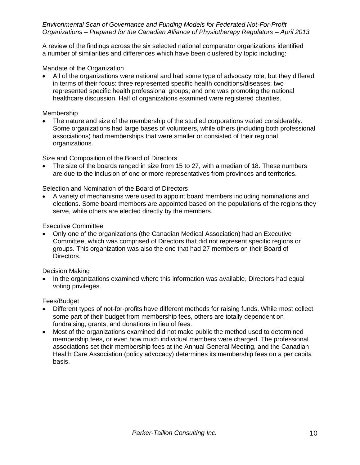A review of the findings across the six selected national comparator organizations identified a number of similarities and differences which have been clustered by topic including:

#### Mandate of the Organization

 All of the organizations were national and had some type of advocacy role, but they differed in terms of their focus: three represented specific health conditions/diseases; two represented specific health professional groups; and one was promoting the national healthcare discussion. Half of organizations examined were registered charities.

#### Membership

 The nature and size of the membership of the studied corporations varied considerably. Some organizations had large bases of volunteers, while others (including both professional associations) had memberships that were smaller or consisted of their regional organizations.

Size and Composition of the Board of Directors

 The size of the boards ranged in size from 15 to 27, with a median of 18. These numbers are due to the inclusion of one or more representatives from provinces and territories.

#### Selection and Nomination of the Board of Directors

 A variety of mechanisms were used to appoint board members including nominations and elections. Some board members are appointed based on the populations of the regions they serve, while others are elected directly by the members.

#### Executive Committee

 Only one of the organizations (the Canadian Medical Association) had an Executive Committee, which was comprised of Directors that did not represent specific regions or groups. This organization was also the one that had 27 members on their Board of Directors.

#### Decision Making

 In the organizations examined where this information was available, Directors had equal voting privileges.

#### Fees/Budget

- Different types of not-for-profits have different methods for raising funds. While most collect some part of their budget from membership fees, others are totally dependent on fundraising, grants, and donations in lieu of fees.
- Most of the organizations examined did not make public the method used to determined membership fees, or even how much individual members were charged. The professional associations set their membership fees at the Annual General Meeting, and the Canadian Health Care Association (policy advocacy) determines its membership fees on a per capita basis.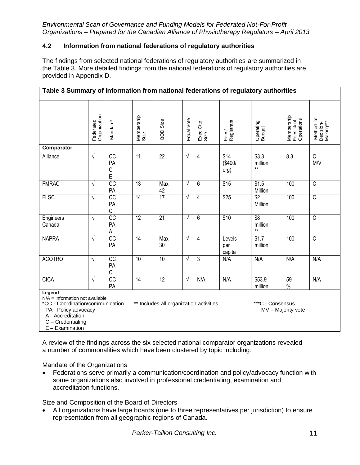#### **4.2 Information from national federations of regulatory authorities**

The findings from selected national federations of regulatory authorities are summarized in the Table 3. More detailed findings from the national federations of regulatory authorities are provided in Appendix D.

| Table 3 Summary of Information from national federations of regulatory authorities                                                                                                                                                       |                           |                                           |                    |                 |            |                   |                                 |                          |                                       |                                     |
|------------------------------------------------------------------------------------------------------------------------------------------------------------------------------------------------------------------------------------------|---------------------------|-------------------------------------------|--------------------|-----------------|------------|-------------------|---------------------------------|--------------------------|---------------------------------------|-------------------------------------|
|                                                                                                                                                                                                                                          | Organization<br>Federated | Mandate*                                  | Membership<br>Size | <b>BOD Size</b> | Equal Vote | Exec Ctte<br>Size | Fees/<br>Registrant             | Operating<br>Budget      | Membership<br>Fees % of<br>Operations | Method of<br>Decision-<br>Making*** |
| Comparator                                                                                                                                                                                                                               |                           |                                           |                    |                 |            |                   |                                 |                          |                                       |                                     |
| Alliance                                                                                                                                                                                                                                 | $\sqrt{}$                 | $\overline{cc}$<br>PA<br>$\mathsf C$<br>E | $\overline{11}$    | $\overline{22}$ | $\sqrt{}$  | 4                 | $\sqrt{$14}$<br>(\$400/<br>org) | \$3.3<br>million<br>$**$ | 8.3                                   | $\overline{C}$<br>M/V               |
| <b>FMRAC</b>                                                                                                                                                                                                                             | $\sqrt{}$                 | $\overline{CC}$<br>PA                     | $\overline{13}$    | Max<br>42       | $\sqrt{ }$ | 6                 | $\overline{$15}$                | \$1.5<br>Million         | 100                                   | $\overline{C}$                      |
| <b>FLSC</b>                                                                                                                                                                                                                              | $\sqrt{ }$                | CC<br>PA<br>$\mathsf C$                   | $\overline{14}$    | 17              | $\sqrt{}$  | 4                 | \$25                            | $\sqrt{$2}$<br>Million   | 100                                   | $\overline{\mathsf{C}}$             |
| Engineers<br>Canada                                                                                                                                                                                                                      | $\sqrt{}$                 | $\overline{cc}$<br>PA<br>Α                | $\overline{12}$    | $\overline{21}$ | $\sqrt{ }$ | 6                 | \$10                            | \$8<br>million<br>$***$  | 100                                   | $\overline{C}$                      |
| <b>NAPRA</b>                                                                                                                                                                                                                             | $\sqrt{}$                 | $\overline{cc}$<br>PA                     | $\overline{14}$    | Max<br>30       | $\sqrt{ }$ | $\overline{4}$    | Levels<br>per<br>capita         | $\sqrt{$1.7}$<br>million | 100                                   | $\overline{C}$                      |
| <b>ACOTRO</b>                                                                                                                                                                                                                            | $\sqrt{}$                 | $\overline{cc}$<br>PA<br>C                | 10                 | 10              | $\sqrt{ }$ | 3                 | N/A                             | N/A                      | N/A                                   | N/A                                 |
| <b>CICA</b>                                                                                                                                                                                                                              | $\sqrt{}$                 | CC<br>PA                                  | $\overline{14}$    | $\overline{12}$ | $\sqrt{}$  | N/A               | N/A                             | \$53.9<br>million        | 59<br>$\%$                            | N/A                                 |
| Legend<br>$N/A =$ Information not available<br>** Includes all organization activities<br>***C - Consensus<br>*CC - Coordination/communication<br>MV - Majority vote<br>PA - Policy advocacy<br>A - Accreditation<br>$C$ – Credentialing |                           |                                           |                    |                 |            |                   |                                 |                          |                                       |                                     |

E – Examination

A review of the findings across the six selected national comparator organizations revealed a number of commonalities which have been clustered by topic including:

Mandate of the Organizations

 Federations serve primarily a communication/coordination and policy/advocacy function with some organizations also involved in professional credentialing, examination and accreditation functions.

Size and Composition of the Board of Directors

 All organizations have large boards (one to three representatives per jurisdiction) to ensure representation from all geographic regions of Canada.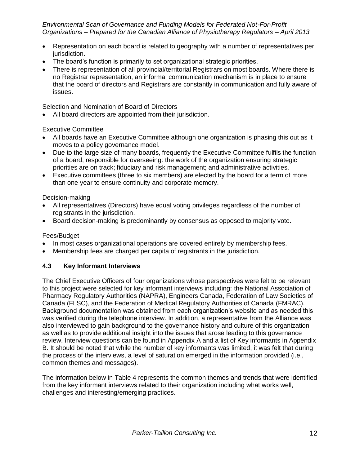- Representation on each board is related to geography with a number of representatives per jurisdiction.
- The board's function is primarily to set organizational strategic priorities.
- There is representation of all provincial/territorial Registrars on most boards. Where there is no Registrar representation, an informal communication mechanism is in place to ensure that the board of directors and Registrars are constantly in communication and fully aware of issues.

Selection and Nomination of Board of Directors

All board directors are appointed from their jurisdiction.

#### Executive Committee

- All boards have an Executive Committee although one organization is phasing this out as it moves to a policy governance model.
- Due to the large size of many boards, frequently the Executive Committee fulfils the function of a board, responsible for overseeing: the work of the organization ensuring strategic priorities are on track; fiduciary and risk management; and administrative activities.
- Executive committees (three to six members) are elected by the board for a term of more than one year to ensure continuity and corporate memory.

Decision-making

- All representatives (Directors) have equal voting privileges regardless of the number of registrants in the jurisdiction.
- Board decision-making is predominantly by consensus as opposed to majority vote.

Fees/Budget

- In most cases organizational operations are covered entirely by membership fees.
- Membership fees are charged per capita of registrants in the jurisdiction.

#### **4.3 Key Informant Interviews**

The Chief Executive Officers of four organizations whose perspectives were felt to be relevant to this project were selected for key informant interviews including: the National Association of Pharmacy Regulatory Authorities (NAPRA), Engineers Canada, Federation of Law Societies of Canada (FLSC), and the Federation of Medical Regulatory Authorities of Canada (FMRAC). Background documentation was obtained from each organization's website and as needed this was verified during the telephone interview. In addition, a representative from the Alliance was also interviewed to gain background to the governance history and culture of this organization as well as to provide additional insight into the issues that arose leading to this governance review. Interview questions can be found in Appendix A and a list of Key informants in Appendix B. It should be noted that while the number of key informants was limited, it was felt that during the process of the interviews, a level of saturation emerged in the information provided (i.e., common themes and messages).

The information below in Table 4 represents the common themes and trends that were identified from the key informant interviews related to their organization including what works well, challenges and interesting/emerging practices.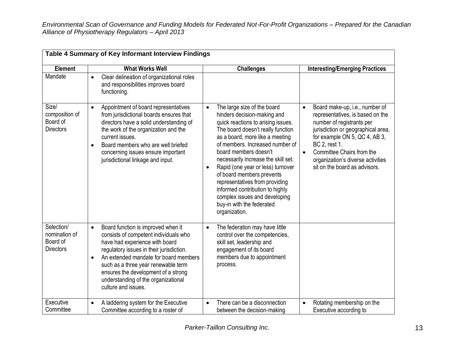|                                                             | Table 4 Summary of Key Informant Interview Findings                                                                                                                                                                                                                                                                                                                      |                                                                                                                                                                                                                                                                                                                                                                                                                                                                                                                |                                                                                                                                                                                                                                                                                                                      |
|-------------------------------------------------------------|--------------------------------------------------------------------------------------------------------------------------------------------------------------------------------------------------------------------------------------------------------------------------------------------------------------------------------------------------------------------------|----------------------------------------------------------------------------------------------------------------------------------------------------------------------------------------------------------------------------------------------------------------------------------------------------------------------------------------------------------------------------------------------------------------------------------------------------------------------------------------------------------------|----------------------------------------------------------------------------------------------------------------------------------------------------------------------------------------------------------------------------------------------------------------------------------------------------------------------|
| <b>Element</b>                                              | <b>What Works Well</b>                                                                                                                                                                                                                                                                                                                                                   | <b>Challenges</b>                                                                                                                                                                                                                                                                                                                                                                                                                                                                                              | <b>Interesting/Emerging Practices</b>                                                                                                                                                                                                                                                                                |
| Mandate                                                     | Clear delineation of organizational roles<br>$\bullet$<br>and responsibilities improves board<br>functioning.                                                                                                                                                                                                                                                            |                                                                                                                                                                                                                                                                                                                                                                                                                                                                                                                |                                                                                                                                                                                                                                                                                                                      |
| Size/<br>composition of<br>Board of<br><b>Directors</b>     | Appointment of board representatives<br>$\bullet$<br>from jurisdictional boards ensures that<br>directors have a solid understanding of<br>the work of the organization and the<br>current issues.<br>Board members who are well briefed<br>$\bullet$<br>concerning issues ensure important<br>jurisdictional linkage and input.                                         | The large size of the board<br>$\bullet$<br>hinders decision-making and<br>quick reactions to arising issues.<br>The board doesn't really function<br>as a board, more like a meeting<br>of members. Increased number of<br>board members doesn't<br>necessarily increase the skill set.<br>Rapid (one year or less) turnover<br>of board members prevents<br>representatives from providing<br>informed contribution to highly<br>complex issues and developing<br>buy-in with the federated<br>organization. | Board make-up, i.e., number of<br>$\bullet$<br>representatives, is based on the<br>number of registrants per<br>jurisdiction or geographical area,<br>for example ON 5, QC 4, AB 3,<br>BC 2, rest 1.<br>Committee Chairs from the<br>$\bullet$<br>organization's diverse activities<br>sit on the board as advisors. |
| Selection/<br>nomination of<br>Board of<br><b>Directors</b> | Board function is improved when it<br>$\bullet$<br>consists of competent individuals who<br>have had experience with board<br>regulatory issues in their jurisdiction.<br>An extended mandate for board members<br>$\bullet$<br>such as a three year renewable term<br>ensures the development of a strong<br>understanding of the organizational<br>culture and issues. | The federation may have little<br>$\bullet$<br>control over the competencies,<br>skill set, leadership and<br>engagement of its board<br>members due to appointment<br>process.                                                                                                                                                                                                                                                                                                                                |                                                                                                                                                                                                                                                                                                                      |
| Executive<br>Committee                                      | A laddering system for the Executive<br>$\bullet$<br>Committee according to a roster of                                                                                                                                                                                                                                                                                  | There can be a disconnection<br>$\bullet$<br>between the decision-making                                                                                                                                                                                                                                                                                                                                                                                                                                       | Rotating membership on the<br>$\bullet$<br>Executive according to                                                                                                                                                                                                                                                    |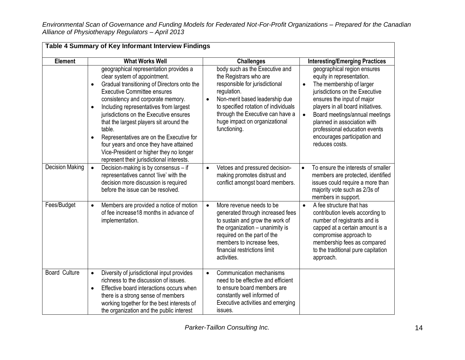|                        | Table 4 Summary of Key Informant Interview Findings                                                                                                                                                                                                                                                                                                                                                                                                                                                                                  |                                                                                                                                                                                                                                                                          |                                                                                                                                                                                                                                                                                                                                                                         |
|------------------------|--------------------------------------------------------------------------------------------------------------------------------------------------------------------------------------------------------------------------------------------------------------------------------------------------------------------------------------------------------------------------------------------------------------------------------------------------------------------------------------------------------------------------------------|--------------------------------------------------------------------------------------------------------------------------------------------------------------------------------------------------------------------------------------------------------------------------|-------------------------------------------------------------------------------------------------------------------------------------------------------------------------------------------------------------------------------------------------------------------------------------------------------------------------------------------------------------------------|
| <b>Element</b>         | <b>What Works Well</b>                                                                                                                                                                                                                                                                                                                                                                                                                                                                                                               | <b>Challenges</b>                                                                                                                                                                                                                                                        | <b>Interesting/Emerging Practices</b>                                                                                                                                                                                                                                                                                                                                   |
|                        | geographical representation provides a<br>clear system of appointment.<br>Gradual transitioning of Directors onto the<br>$\bullet$<br><b>Executive Committee ensures</b><br>consistency and corporate memory.<br>Including representatives from largest<br>jurisdictions on the Executive ensures<br>that the largest players sit around the<br>table.<br>Representatives are on the Executive for<br>four years and once they have attained<br>Vice-President or higher they no longer<br>represent their jurisdictional interests. | body such as the Executive and<br>the Registrars who are<br>responsible for jurisdictional<br>regulation.<br>Non-merit based leadership due<br>to specified rotation of individuals<br>through the Executive can have a<br>huge impact on organizational<br>functioning. | geographical region ensures<br>equity in representation.<br>The membership of larger<br>$\bullet$<br>jurisdictions on the Executive<br>ensures the input of major<br>players in all board initiatives.<br>Board meetings/annual meetings<br>$\bullet$<br>planned in association with<br>professional education events<br>encourages participation and<br>reduces costs. |
| <b>Decision Making</b> | Decision-making is by consensus - if<br>$\bullet$<br>representatives cannot 'live' with the<br>decision more discussion is required<br>before the issue can be resolved.                                                                                                                                                                                                                                                                                                                                                             | Vetoes and pressured decision-<br>$\bullet$<br>making promotes distrust and<br>conflict amongst board members.                                                                                                                                                           | To ensure the interests of smaller<br>$\bullet$<br>members are protected, identified<br>issues could require a more than<br>majority vote such as 2/3s of<br>members in support.                                                                                                                                                                                        |
| Fees/Budget            | Members are provided a notice of motion<br>$\bullet$<br>of fee increase18 months in advance of<br>implementation.                                                                                                                                                                                                                                                                                                                                                                                                                    | More revenue needs to be<br>$\bullet$<br>generated through increased fees<br>to sustain and grow the work of<br>the organization - unanimity is<br>required on the part of the<br>members to increase fees,<br>financial restrictions limit<br>activities.               | A fee structure that has<br>$\bullet$<br>contribution levels according to<br>number of registrants and is<br>capped at a certain amount is a<br>compromise approach to<br>membership fees as compared<br>to the traditional pure capitation<br>approach.                                                                                                                |
| <b>Board Culture</b>   | Diversity of jurisdictional input provides<br>$\bullet$<br>richness to the discussion of issues.<br>Effective board interactions occurs when<br>$\bullet$<br>there is a strong sense of members<br>working together for the best interests of<br>the organization and the public interest                                                                                                                                                                                                                                            | Communication mechanisms<br>need to be effective and efficient<br>to ensure board members are<br>constantly well informed of<br>Executive activities and emerging<br>issues.                                                                                             |                                                                                                                                                                                                                                                                                                                                                                         |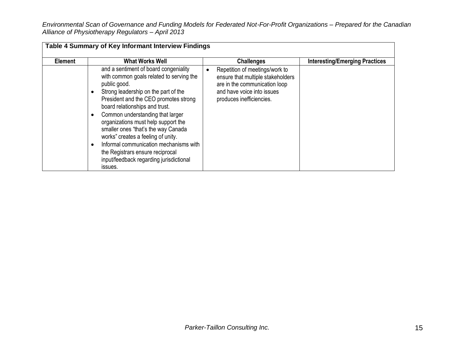|                | Table 4 Summary of Key Informant Interview Findings                                                                                                                                                                                                                                                                                                                                                                                                                                                                                        |                                                                                                                                                                     |                                       |
|----------------|--------------------------------------------------------------------------------------------------------------------------------------------------------------------------------------------------------------------------------------------------------------------------------------------------------------------------------------------------------------------------------------------------------------------------------------------------------------------------------------------------------------------------------------------|---------------------------------------------------------------------------------------------------------------------------------------------------------------------|---------------------------------------|
| <b>Element</b> | <b>What Works Well</b>                                                                                                                                                                                                                                                                                                                                                                                                                                                                                                                     | <b>Challenges</b>                                                                                                                                                   | <b>Interesting/Emerging Practices</b> |
|                | and a sentiment of board congeniality<br>with common goals related to serving the<br>public good.<br>Strong leadership on the part of the<br>$\bullet$<br>President and the CEO promotes strong<br>board relationships and trust.<br>Common understanding that larger<br>organizations must help support the<br>smaller ones "that's the way Canada<br>works" creates a feeling of unity.<br>Informal communication mechanisms with<br>$\bullet$<br>the Registrars ensure reciprocal<br>input/feedback regarding jurisdictional<br>issues. | Repetition of meetings/work to<br>٠<br>ensure that multiple stakeholders<br>are in the communication loop<br>and have voice into issues<br>produces inefficiencies. |                                       |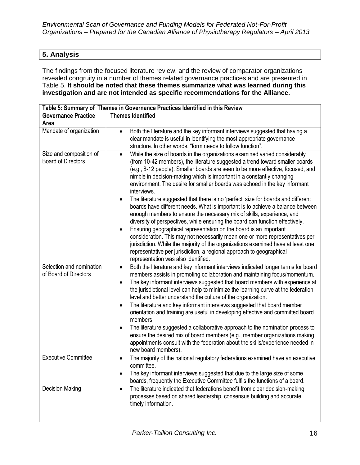# **5. Analysis**

The findings from the focused literature review, and the review of comparator organizations revealed congruity in a number of themes related governance practices and are presented in Table 5. **It should be noted that these themes summarize what was learned during this investigation and are not intended as specific recommendations for the Alliance.** 

|                                                      | Table 5: Summary of Themes in Governance Practices Identified in this Review                                                                                                                                                                                                                                                                                                                                                                                                                                                                                                                                                                                                                                                                                                                                                                                                                                                                                                                                                                                                                                                                        |
|------------------------------------------------------|-----------------------------------------------------------------------------------------------------------------------------------------------------------------------------------------------------------------------------------------------------------------------------------------------------------------------------------------------------------------------------------------------------------------------------------------------------------------------------------------------------------------------------------------------------------------------------------------------------------------------------------------------------------------------------------------------------------------------------------------------------------------------------------------------------------------------------------------------------------------------------------------------------------------------------------------------------------------------------------------------------------------------------------------------------------------------------------------------------------------------------------------------------|
| <b>Governance Practice</b>                           | <b>Themes Identified</b>                                                                                                                                                                                                                                                                                                                                                                                                                                                                                                                                                                                                                                                                                                                                                                                                                                                                                                                                                                                                                                                                                                                            |
| Area                                                 |                                                                                                                                                                                                                                                                                                                                                                                                                                                                                                                                                                                                                                                                                                                                                                                                                                                                                                                                                                                                                                                                                                                                                     |
| Mandate of organization                              | Both the literature and the key informant interviews suggested that having a<br>clear mandate is useful in identifying the most appropriate governance<br>structure. In other words, "form needs to follow function".                                                                                                                                                                                                                                                                                                                                                                                                                                                                                                                                                                                                                                                                                                                                                                                                                                                                                                                               |
| Size and composition of<br><b>Board of Directors</b> | While the size of boards in the organizations examined varied considerably<br>$\bullet$<br>(from 10-42 members), the literature suggested a trend toward smaller boards<br>(e.g., 8-12 people). Smaller boards are seen to be more effective, focused, and<br>nimble in decision-making which is important in a constantly changing<br>environment. The desire for smaller boards was echoed in the key informant<br>interviews.<br>The literature suggested that there is no 'perfect' size for boards and different<br>$\bullet$<br>boards have different needs. What is important is to achieve a balance between<br>enough members to ensure the necessary mix of skills, experience, and<br>diversity of perspectives, while ensuring the board can function effectively.<br>Ensuring geographical representation on the board is an important<br>$\bullet$<br>consideration. This may not necessarily mean one or more representatives per<br>jurisdiction. While the majority of the organizations examined have at least one<br>representative per jurisdiction, a regional approach to geographical<br>representation was also identified. |
| Selection and nomination<br>of Board of Directors    | Both the literature and key informant interviews indicated longer terms for board<br>$\bullet$<br>members assists in promoting collaboration and maintaining focus/momentum.<br>The key informant interviews suggested that board members with experience at<br>the jurisdictional level can help to minimize the learning curve at the federation<br>level and better understand the culture of the organization.<br>The literature and key informant interviews suggested that board member<br>$\bullet$<br>orientation and training are useful in developing effective and committed board<br>members.<br>The literature suggested a collaborative approach to the nomination process to<br>$\bullet$<br>ensure the desired mix of board members (e.g., member organizations making<br>appointments consult with the federation about the skills/experience needed in<br>new board members).                                                                                                                                                                                                                                                     |
| <b>Executive Committee</b>                           | The majority of the national regulatory federations examined have an executive<br>committee.<br>The key informant interviews suggested that due to the large size of some<br>boards, frequently the Executive Committee fulfils the functions of a board.                                                                                                                                                                                                                                                                                                                                                                                                                                                                                                                                                                                                                                                                                                                                                                                                                                                                                           |
| <b>Decision Making</b>                               | The literature indicated that federations benefit from clear decision-making<br>processes based on shared leadership, consensus building and accurate,<br>timely information.                                                                                                                                                                                                                                                                                                                                                                                                                                                                                                                                                                                                                                                                                                                                                                                                                                                                                                                                                                       |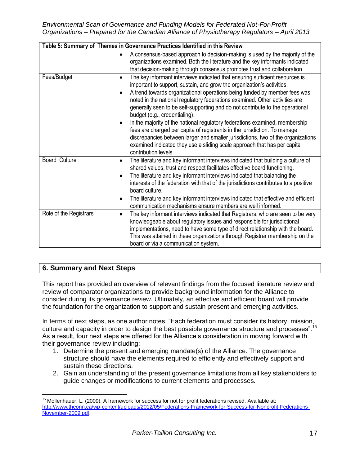*Environmental Scan of Governance and Funding Models for Federated Not-For-Profit Organizations – Prepared for the Canadian Alliance of Physiotherapy Regulators – April 2013*

|                        | Table 5: Summary of Themes in Governance Practices Identified in this Review                                                                                                                                                                                                                                                                                                                                                                                                                                                                                                                                                                                                                                                                                                                          |
|------------------------|-------------------------------------------------------------------------------------------------------------------------------------------------------------------------------------------------------------------------------------------------------------------------------------------------------------------------------------------------------------------------------------------------------------------------------------------------------------------------------------------------------------------------------------------------------------------------------------------------------------------------------------------------------------------------------------------------------------------------------------------------------------------------------------------------------|
|                        | A consensus-based approach to decision-making is used by the majority of the<br>organizations examined. Both the literature and the key informants indicated<br>that decision-making through consensus promotes trust and collaboration.                                                                                                                                                                                                                                                                                                                                                                                                                                                                                                                                                              |
| Fees/Budget            | The key informant interviews indicated that ensuring sufficient resources is<br>$\bullet$<br>important to support, sustain, and grow the organization's activities.<br>A trend towards organizational operations being funded by member fees was<br>noted in the national regulatory federations examined. Other activities are<br>generally seen to be self-supporting and do not contribute to the operational<br>budget (e.g., credentialing).<br>In the majority of the national regulatory federations examined, membership<br>fees are charged per capita of registrants in the jurisdiction. To manage<br>discrepancies between larger and smaller jurisdictions, two of the organizations<br>examined indicated they use a sliding scale approach that has per capita<br>contribution levels. |
| <b>Board Culture</b>   | The literature and key informant interviews indicated that building a culture of<br>$\bullet$<br>shared values, trust and respect facilitates effective board functioning.<br>The literature and key informant interviews indicated that balancing the<br>interests of the federation with that of the jurisdictions contributes to a positive<br>board culture.<br>The literature and key informant interviews indicated that effective and efficient<br>communication mechanisms ensure members are well informed.                                                                                                                                                                                                                                                                                  |
| Role of the Registrars | The key informant interviews indicated that Registrars, who are seen to be very<br>$\bullet$<br>knowledgeable about regulatory issues and responsible for jurisdictional<br>implementations, need to have some type of direct relationship with the board.<br>This was attained in these organizations through Registrar membership on the<br>board or via a communication system.                                                                                                                                                                                                                                                                                                                                                                                                                    |

# **6. Summary and Next Steps**

 $\overline{a}$ 

This report has provided an overview of relevant findings from the focused literature review and review of comparator organizations to provide background information for the Alliance to consider during its governance review. Ultimately, an effective and efficient board will provide the foundation for the organization to support and sustain present and emerging activities.

In terms of next steps, as one author notes, "Each federation must consider its history, mission, culture and capacity in order to design the best possible governance structure and processes".<sup>15</sup> As a result, four next steps are offered for the Alliance's consideration in moving forward with their governance review including:

- 1. Determine the present and emerging mandate(s) of the Alliance. The governance structure should have the elements required to efficiently and effectively support and sustain these directions.
- 2. Gain an understanding of the present governance limitations from all key stakeholders to guide changes or modifications to current elements and processes.

<sup>&</sup>lt;sup>15</sup> Mollenhauer, L. (2009). A framework for success for not for profit federations revised. Available at: [http://www.theonn.ca/wp-content/uploads/2012/05/Federations-Framework-for-Success-for-Nonprofit-Federations-](http://www.theonn.ca/wp-content/uploads/2012/05/Federations-Framework-for-Success-for-Nonprofit-Federations-November-2009.pdf)[November-2009.pdf.](http://www.theonn.ca/wp-content/uploads/2012/05/Federations-Framework-for-Success-for-Nonprofit-Federations-November-2009.pdf)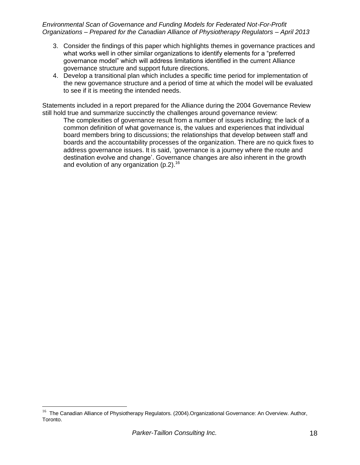- 3. Consider the findings of this paper which highlights themes in governance practices and what works well in other similar organizations to identify elements for a "preferred governance model" which will address limitations identified in the current Alliance governance structure and support future directions.
- 4. Develop a transitional plan which includes a specific time period for implementation of the new governance structure and a period of time at which the model will be evaluated to see if it is meeting the intended needs.

Statements included in a report prepared for the Alliance during the 2004 Governance Review still hold true and summarize succinctly the challenges around governance review:

The complexities of governance result from a number of issues including; the lack of a common definition of what governance is, the values and experiences that individual board members bring to discussions; the relationships that develop between staff and boards and the accountability processes of the organization. There are no quick fixes to address governance issues. It is said, 'governance is a journey where the route and destination evolve and change'. Governance changes are also inherent in the growth and evolution of any organization (p.2).<sup>16</sup>

 $\overline{a}$ 

<sup>&</sup>lt;sup>16</sup> The Canadian Alliance of Physiotherapy Regulators. (2004). Organizational Governance: An Overview. Author, Toronto.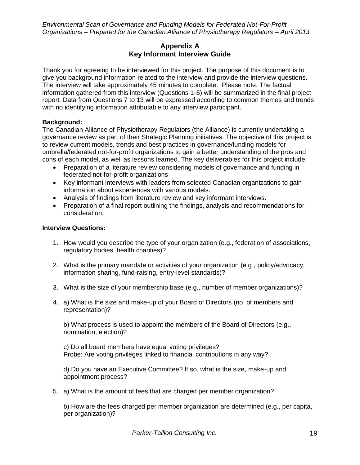#### **Appendix A Key Informant Interview Guide**

Thank you for agreeing to be interviewed for this project. The purpose of this document is to give you background information related to the interview and provide the interview questions. The interview will take approximately 45 minutes to complete. Please note: The factual information gathered from this interview (Questions 1-6) will be summarized in the final project report. Data from Questions 7 to 13 will be expressed according to common themes and trends with no identifying information attributable to any interview participant.

#### **Background:**

The Canadian Alliance of Physiotherapy Regulators (the Alliance) is currently undertaking a governance review as part of their Strategic Planning initiatives. The objective of this project is to review current models, trends and best practices in governance/funding models for umbrella/federated not-for-profit organizations to gain a better understanding of the pros and cons of each model, as well as lessons learned. The key deliverables for this project include:

- Preparation of a literature review considering models of governance and funding in federated not-for-profit organizations
- Key informant interviews with leaders from selected Canadian organizations to gain information about experiences with various models.
- Analysis of findings from literature review and key informant interviews.
- Preparation of a final report outlining the findings, analysis and recommendations for consideration.

#### **Interview Questions:**

- 1. How would you describe the type of your organization (e.g., federation of associations, regulatory bodies, health charities)?
- 2. What is the primary mandate or activities of your organization (e.g., policy/advocacy, information sharing, fund-raising, entry-level standards)?
- 3. What is the size of your membership base (e.g., number of member organizations)?
- 4. a) What is the size and make-up of your Board of Directors (no. of members and representation)?

b) What process is used to appoint the members of the Board of Directors (e.g., nomination, election)?

c) Do all board members have equal voting privileges? Probe: Are voting privileges linked to financial contributions in any way?

d) Do you have an Executive Committee? If so, what is the size, make-up and appointment process?

5. a) What is the amount of fees that are charged per member organization?

b) How are the fees charged per member organization are determined (e.g., per capita, per organization)?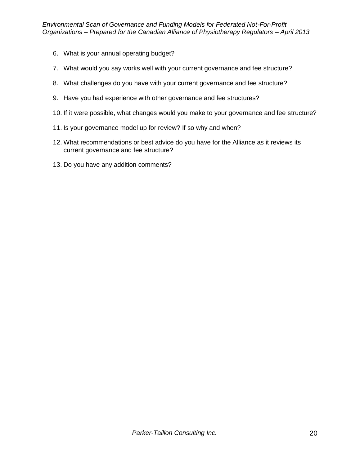- 6. What is your annual operating budget?
- 7. What would you say works well with your current governance and fee structure?
- 8. What challenges do you have with your current governance and fee structure?
- 9. Have you had experience with other governance and fee structures?
- 10. If it were possible, what changes would you make to your governance and fee structure?
- 11. Is your governance model up for review? If so why and when?
- 12. What recommendations or best advice do you have for the Alliance as it reviews its current governance and fee structure?
- 13. Do you have any addition comments?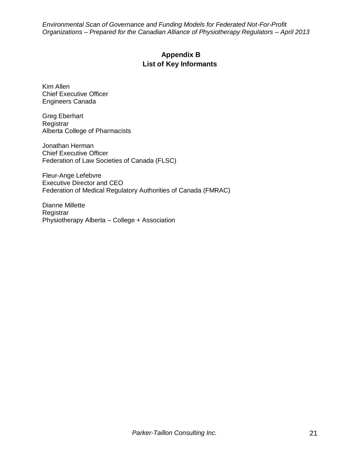# **Appendix B List of Key Informants**

Kim Allen Chief Executive Officer Engineers Canada

Greg Eberhart **Registrar** Alberta College of Pharmacists

Jonathan Herman Chief Executive Officer Federation of Law Societies of Canada (FLSC)

Fleur-Ange Lefebvre Executive Director and CEO Federation of Medical Regulatory Authorities of Canada (FMRAC)

Dianne Millette Registrar Physiotherapy Alberta – College + Association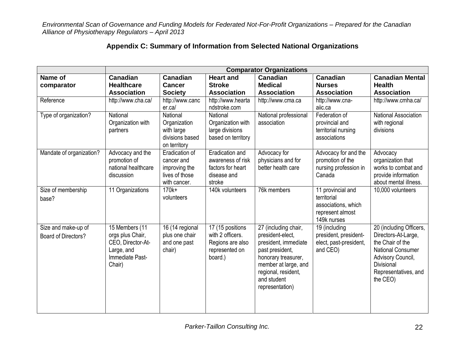| Appendix C: Summary of Information from Selected National Organizations |  |  |  |  |
|-------------------------------------------------------------------------|--|--|--|--|
|-------------------------------------------------------------------------|--|--|--|--|

|                          | <b>Comparator Organizations</b>       |                                   |                                      |                       |                                                 |                                                |  |  |
|--------------------------|---------------------------------------|-----------------------------------|--------------------------------------|-----------------------|-------------------------------------------------|------------------------------------------------|--|--|
| Name of                  | <b>Canadian</b>                       | <b>Canadian</b>                   | <b>Heart and</b>                     | <b>Canadian</b>       | <b>Canadian</b>                                 | <b>Canadian Mental</b>                         |  |  |
| comparator               | <b>Healthcare</b>                     | Cancer                            | <b>Stroke</b>                        | <b>Medical</b>        | <b>Nurses</b>                                   | <b>Health</b>                                  |  |  |
|                          | <b>Association</b>                    | <b>Society</b>                    | <b>Association</b>                   | <b>Association</b>    | <b>Association</b>                              | <b>Association</b>                             |  |  |
| Reference                | http://www.cha.ca/                    | http://www.canc                   | http://www.hearta                    | http://www.cma.ca     | http://www.cna-                                 | http://www.cmha.ca/                            |  |  |
|                          |                                       | er.ca/                            | ndstroke.com                         |                       | aiic.ca                                         |                                                |  |  |
| Type of organization?    | <b>National</b>                       | National                          | National                             | National professional | Federation of                                   | <b>National Association</b>                    |  |  |
|                          | Organization with                     | Organization                      | Organization with                    | association           | provincial and                                  | with regional                                  |  |  |
|                          | partners                              | with large                        | large divisions                      |                       | territorial nursing                             | divisions                                      |  |  |
|                          |                                       | divisions based                   | based on territory                   |                       | associations                                    |                                                |  |  |
|                          |                                       | on territory                      |                                      |                       |                                                 |                                                |  |  |
| Mandate of organization? | Advocacy and the                      | Eradication of                    | <b>Eradication and</b>               | Advocacy for          | Advocacy for and the                            | Advocacy                                       |  |  |
|                          | promotion of                          | cancer and                        | awareness of risk                    | physicians and for    | promotion of the                                | organization that                              |  |  |
|                          | national healthcare                   | improving the                     | factors for heart                    | better health care    | nursing profession in                           | works to combat and                            |  |  |
|                          | discussion                            | lives of those                    | disease and                          |                       | Canada                                          | provide information                            |  |  |
|                          |                                       | with cancer.                      | stroke                               |                       |                                                 | about mental illness.                          |  |  |
| Size of membership       | 11 Organizations                      | $170k+$                           | 140k volunteers                      | 76k members           | 11 provincial and                               | 10,000 volunteers                              |  |  |
| base?                    |                                       | volunteers                        |                                      |                       | territorial                                     |                                                |  |  |
|                          |                                       |                                   |                                      |                       | associations, which                             |                                                |  |  |
|                          |                                       |                                   |                                      |                       | represent almost<br>149k nurses                 |                                                |  |  |
| Size and make-up of      | 15 Members (11                        |                                   |                                      | 27 (including chair,  |                                                 |                                                |  |  |
|                          |                                       | 16 (14 regional<br>plus one chair | 17 (15 positions<br>with 2 officers. | president-elect,      | 19 (including                                   | 20 (including Officers,<br>Directors-At-Large, |  |  |
| Board of Directors?      | orgs plus Chair,<br>CEO, Director-At- |                                   | Regions are also                     | president, immediate  | president, president-<br>elect, past-president, | the Chair of the                               |  |  |
|                          | Large, and                            | and one past<br>chair)            | represented on                       | past president,       | and CEO)                                        | <b>National Consumer</b>                       |  |  |
|                          | Immediate Past-                       |                                   | board.)                              | honorary treasurer,   |                                                 | Advisory Council,                              |  |  |
|                          | Chair)                                |                                   |                                      | member at large, and  |                                                 | Divisional                                     |  |  |
|                          |                                       |                                   |                                      | regional, resident,   |                                                 | Representatives, and                           |  |  |
|                          |                                       |                                   |                                      | and student           |                                                 | the CEO)                                       |  |  |
|                          |                                       |                                   |                                      | representation)       |                                                 |                                                |  |  |
|                          |                                       |                                   |                                      |                       |                                                 |                                                |  |  |
|                          |                                       |                                   |                                      |                       |                                                 |                                                |  |  |
|                          |                                       |                                   |                                      |                       |                                                 |                                                |  |  |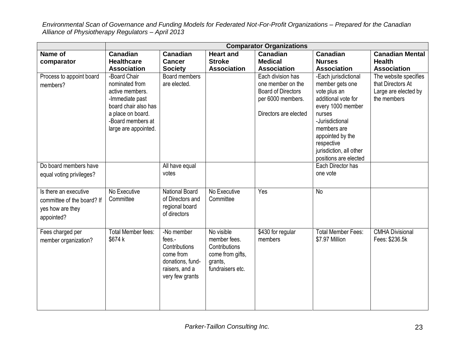|                                                                                       | <b>Comparator Organizations</b>                                                                                                                                |                                                                                                             |                                                                                                |                                                                                                                   |                                                                                                                                                                                                                                       |                                                                                   |  |  |  |
|---------------------------------------------------------------------------------------|----------------------------------------------------------------------------------------------------------------------------------------------------------------|-------------------------------------------------------------------------------------------------------------|------------------------------------------------------------------------------------------------|-------------------------------------------------------------------------------------------------------------------|---------------------------------------------------------------------------------------------------------------------------------------------------------------------------------------------------------------------------------------|-----------------------------------------------------------------------------------|--|--|--|
| Name of<br>comparator                                                                 | <b>Canadian</b><br><b>Healthcare</b><br><b>Association</b>                                                                                                     | <b>Canadian</b><br><b>Cancer</b><br><b>Society</b>                                                          | <b>Heart and</b><br><b>Stroke</b><br><b>Association</b>                                        | <b>Canadian</b><br><b>Medical</b><br><b>Association</b>                                                           | Canadian<br><b>Nurses</b><br><b>Association</b>                                                                                                                                                                                       | <b>Canadian Mental</b><br><b>Health</b><br><b>Association</b>                     |  |  |  |
| Process to appoint board<br>members?                                                  | -Board Chair<br>nominated from<br>active members.<br>-Immediate past<br>board chair also has<br>a place on board.<br>-Board members at<br>large are appointed. | <b>Board members</b><br>are elected.                                                                        |                                                                                                | Each division has<br>one member on the<br><b>Board of Directors</b><br>per 6000 members.<br>Directors are elected | -Each jurisdictional<br>member gets one<br>vote plus an<br>additional vote for<br>every 1000 member<br>nurses<br>-Jurisdictional<br>members are<br>appointed by the<br>respective<br>jurisdiction, all other<br>positions are elected | The website specifies<br>that Directors At<br>Large are elected by<br>the members |  |  |  |
| Do board members have<br>equal voting privileges?                                     |                                                                                                                                                                | All have equal<br>votes                                                                                     |                                                                                                |                                                                                                                   | Each Director has<br>one vote                                                                                                                                                                                                         |                                                                                   |  |  |  |
| Is there an executive<br>committee of the board? If<br>yes how are they<br>appointed? | No Executive<br>Committee                                                                                                                                      | <b>National Board</b><br>of Directors and<br>regional board<br>of directors                                 | No Executive<br>Committee                                                                      | Yes                                                                                                               | <b>No</b>                                                                                                                                                                                                                             |                                                                                   |  |  |  |
| Fees charged per<br>member organization?                                              | Total Member fees:<br>\$674 k                                                                                                                                  | -No member<br>fees.-<br>Contributions<br>come from<br>donations, fund-<br>raisers, and a<br>very few grants | No visible<br>member fees.<br>Contributions<br>come from gifts,<br>grants,<br>fundraisers etc. | \$430 for regular<br>members                                                                                      | <b>Total Member Fees:</b><br>\$7.97 Million                                                                                                                                                                                           | <b>CMHA Divisional</b><br>Fees: \$236.5k                                          |  |  |  |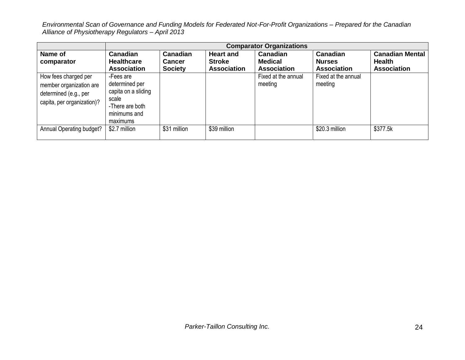|                                                                                                        | <b>Comparator Organizations</b>                                                                            |                                                    |                                                         |                                                         |                                                 |                                                               |  |  |  |
|--------------------------------------------------------------------------------------------------------|------------------------------------------------------------------------------------------------------------|----------------------------------------------------|---------------------------------------------------------|---------------------------------------------------------|-------------------------------------------------|---------------------------------------------------------------|--|--|--|
| Name of<br>comparator                                                                                  | <b>Canadian</b><br><b>Healthcare</b><br><b>Association</b>                                                 | <b>Canadian</b><br><b>Cancer</b><br><b>Society</b> | <b>Heart and</b><br><b>Stroke</b><br><b>Association</b> | <b>Canadian</b><br><b>Medical</b><br><b>Association</b> | Canadian<br><b>Nurses</b><br><b>Association</b> | <b>Canadian Mental</b><br><b>Health</b><br><b>Association</b> |  |  |  |
| How fees charged per<br>member organization are<br>determined (e.g., per<br>capita, per organization)? | -Fees are<br>determined per<br>capita on a sliding<br>scale<br>-There are both<br>minimums and<br>maximums |                                                    |                                                         | Fixed at the annual<br>meeting                          | Fixed at the annual<br>meeting                  |                                                               |  |  |  |
| Annual Operating budget?                                                                               | \$2.7 million                                                                                              | \$31 million                                       | \$39 million                                            |                                                         | \$20.3 million                                  | \$377.5k                                                      |  |  |  |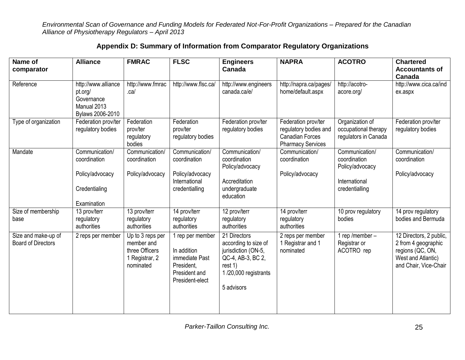|  |  |  | Appendix D: Summary of Information from Comparator Regulatory Organizations |
|--|--|--|-----------------------------------------------------------------------------|
|  |  |  |                                                                             |

| Name of<br>comparator                            | <b>Alliance</b>                                                                 | <b>FMRAC</b>                                                                    | <b>FLSC</b>                                                                                         | <b>Engineers</b><br>Canada                                                                                                        | <b>NAPRA</b>                                                                                       | <b>ACOTRO</b>                                                   | <b>Chartered</b><br><b>Accountants of</b><br>Canada                                                               |
|--------------------------------------------------|---------------------------------------------------------------------------------|---------------------------------------------------------------------------------|-----------------------------------------------------------------------------------------------------|-----------------------------------------------------------------------------------------------------------------------------------|----------------------------------------------------------------------------------------------------|-----------------------------------------------------------------|-------------------------------------------------------------------------------------------------------------------|
| Reference                                        | http://www.alliance<br>pt.org/<br>Governance<br>Manual 2013<br>Bylaws 2006-2010 | http://www.fmrac<br>.ca/                                                        | http://www.flsc.ca/                                                                                 | http://www.engineers<br>canada.ca/e/                                                                                              | http://napra.ca/pages/<br>home/default.aspx                                                        | http://acotro-<br>acore.org/                                    | http://www.cica.ca/ind<br>ex.aspx                                                                                 |
| Type of organization                             | Federation prov/ter<br>regulatory bodies                                        | Federation<br>prov/ter<br>regulatory<br>bodies                                  | Federation<br>prov/ter<br>regulatory bodies                                                         | Federation prov/ter<br>regulatory bodies                                                                                          | Federation prov/ter<br>regulatory bodies and<br><b>Canadian Forces</b><br><b>Pharmacy Services</b> | Organization of<br>occupational therapy<br>regulators in Canada | Federation prov/ter<br>regulatory bodies                                                                          |
| Mandate                                          | Communication/<br>coordination                                                  | Communication/<br>coordination                                                  | Communication/<br>coordination                                                                      | Communication/<br>coordination<br>Policy/advocacy                                                                                 | Communication/<br>coordination                                                                     | Communication/<br>coordination<br>Policy/advocacy               | Communication/<br>coordination                                                                                    |
|                                                  | Policy/advocacy                                                                 | Policy/advocacy                                                                 | Policy/advocacy<br>International                                                                    | Accreditation                                                                                                                     | Policy/advocacy                                                                                    | International                                                   | Policy/advocacy                                                                                                   |
|                                                  | Credentialing                                                                   |                                                                                 | credentialling                                                                                      | undergraduate<br>education                                                                                                        |                                                                                                    | credentialling                                                  |                                                                                                                   |
|                                                  | Examination                                                                     |                                                                                 |                                                                                                     |                                                                                                                                   |                                                                                                    |                                                                 |                                                                                                                   |
| Size of membership<br>base                       | 13 prov/terr<br>regulatory<br>authorities                                       | 13 prov/terr<br>regulatory<br>authorities                                       | 14 prov/terr<br>regulatory<br>authorities                                                           | 12 prov/terr<br>regulatory<br>authorities                                                                                         | 14 prov/terr<br>regulatory<br>authorities                                                          | 10 prov regulatory<br>bodies                                    | 14 prov regulatory<br>bodies and Bermuda                                                                          |
| Size and make-up of<br><b>Board of Directors</b> | 2 reps per member                                                               | Up to 3 reps per<br>member and<br>three Officers<br>1 Registrar, 2<br>nominated | 1 rep per member<br>In addition<br>immediate Past<br>President.<br>President and<br>President-elect | 21 Directors<br>according to size of<br>jurisdiction (ON-5,<br>QC-4, AB-3, BC 2,<br>rest 1)<br>1/20,000 registrants<br>5 advisors | 2 reps per member<br>1 Registrar and 1<br>nominated                                                | rep/member-<br>Registrar or<br>ACOTRO rep                       | 12 Directors, 2 public,<br>2 from 4 geographic<br>regions (QC, ON,<br>West and Atlantic)<br>and Chair, Vice-Chair |